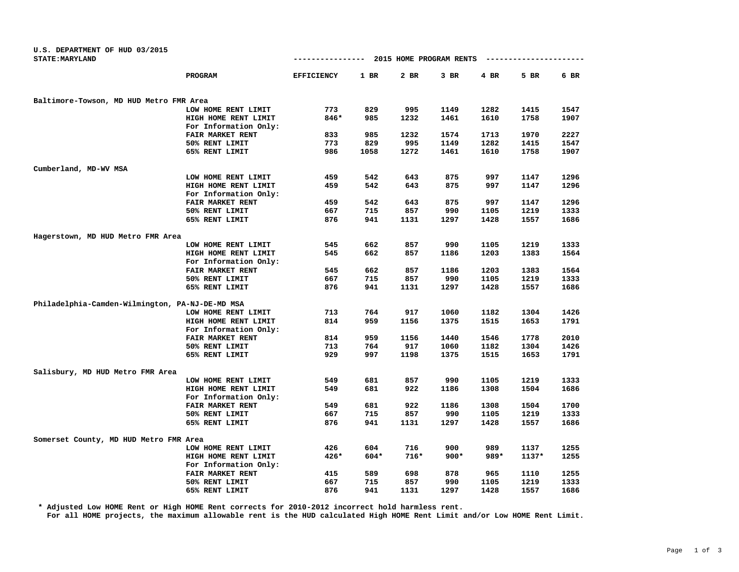| U.S. DEPARTMENT OF HUD 03/2015                  |                       |                   |        |                         |        |        |         |      |
|-------------------------------------------------|-----------------------|-------------------|--------|-------------------------|--------|--------|---------|------|
| <b>STATE: MARYLAND</b>                          |                       | --------------    |        | 2015 HOME PROGRAM RENTS |        |        |         |      |
|                                                 | PROGRAM               | <b>EFFICIENCY</b> | $1$ BR | 2 BR                    | $3$ BR | $4$ BR | 5 BR    | 6 BR |
| Baltimore-Towson, MD HUD Metro FMR Area         |                       |                   |        |                         |        |        |         |      |
|                                                 | LOW HOME RENT LIMIT   | 773               | 829    | 995                     | 1149   | 1282   | 1415    | 1547 |
|                                                 | HIGH HOME RENT LIMIT  | 846*              | 985    | 1232                    | 1461   | 1610   | 1758    | 1907 |
|                                                 | For Information Only: |                   |        |                         |        |        |         |      |
|                                                 | FAIR MARKET RENT      | 833               | 985    | 1232                    | 1574   | 1713   | 1970    | 2227 |
|                                                 | 50% RENT LIMIT        | 773               | 829    | 995                     | 1149   | 1282   | 1415    | 1547 |
|                                                 | 65% RENT LIMIT        | 986               | 1058   | 1272                    | 1461   | 1610   | 1758    | 1907 |
| Cumberland, MD-WV MSA                           |                       |                   |        |                         |        |        |         |      |
|                                                 | LOW HOME RENT LIMIT   | 459               | 542    | 643                     | 875    | 997    | 1147    | 1296 |
|                                                 | HIGH HOME RENT LIMIT  | 459               | 542    | 643                     | 875    | 997    | 1147    | 1296 |
|                                                 | For Information Only: |                   |        |                         |        |        |         |      |
|                                                 | FAIR MARKET RENT      | 459               | 542    | 643                     | 875    | 997    | 1147    | 1296 |
|                                                 | 50% RENT LIMIT        | 667               | 715    | 857                     | 990    | 1105   | 1219    | 1333 |
|                                                 | 65% RENT LIMIT        | 876               | 941    | 1131                    | 1297   | 1428   | 1557    | 1686 |
| Hagerstown, MD HUD Metro FMR Area               |                       |                   |        |                         |        |        |         |      |
|                                                 | LOW HOME RENT LIMIT   | 545               | 662    | 857                     | 990    | 1105   | 1219    | 1333 |
|                                                 | HIGH HOME RENT LIMIT  | 545               | 662    | 857                     | 1186   | 1203   | 1383    | 1564 |
|                                                 | For Information Only: |                   |        |                         |        |        |         |      |
|                                                 | FAIR MARKET RENT      | 545               | 662    | 857                     | 1186   | 1203   | 1383    | 1564 |
|                                                 | 50% RENT LIMIT        | 667               | 715    | 857                     | 990    | 1105   | 1219    | 1333 |
|                                                 | 65% RENT LIMIT        | 876               | 941    | 1131                    | 1297   | 1428   | 1557    | 1686 |
| Philadelphia-Camden-Wilmington, PA-NJ-DE-MD MSA |                       |                   |        |                         |        |        |         |      |
|                                                 | LOW HOME RENT LIMIT   | 713               | 764    | 917                     | 1060   | 1182   | 1304    | 1426 |
|                                                 | HIGH HOME RENT LIMIT  | 814               | 959    | 1156                    | 1375   | 1515   | 1653    | 1791 |
|                                                 | For Information Only: |                   |        |                         |        |        |         |      |
|                                                 | FAIR MARKET RENT      | 814               | 959    | 1156                    | 1440   | 1546   | 1778    | 2010 |
|                                                 | 50% RENT LIMIT        | 713               | 764    | 917                     | 1060   | 1182   | 1304    | 1426 |
|                                                 | 65% RENT LIMIT        | 929               | 997    | 1198                    | 1375   | 1515   | 1653    | 1791 |
| Salisbury, MD HUD Metro FMR Area                |                       |                   |        |                         |        |        |         |      |
|                                                 | LOW HOME RENT LIMIT   | 549               | 681    | 857                     | 990    | 1105   | 1219    | 1333 |
|                                                 | HIGH HOME RENT LIMIT  | 549               | 681    | 922                     | 1186   | 1308   | 1504    | 1686 |
|                                                 | For Information Only: |                   |        |                         |        |        |         |      |
|                                                 | FAIR MARKET RENT      | 549               | 681    | 922                     | 1186   | 1308   | 1504    | 1700 |
|                                                 | 50% RENT LIMIT        | 667               | 715    | 857                     | 990    | 1105   | 1219    | 1333 |
|                                                 | 65% RENT LIMIT        | 876               | 941    | 1131                    | 1297   | 1428   | 1557    | 1686 |
| Somerset County, MD HUD Metro FMR Area          |                       |                   |        |                         |        |        |         |      |
|                                                 | LOW HOME RENT LIMIT   | 426               | 604    | 716                     | 900    | 989    | 1137    | 1255 |
|                                                 | HIGH HOME RENT LIMIT  | $426*$            | 604*   | $716*$                  | $900*$ | 989*   | $1137*$ | 1255 |
|                                                 | For Information Only: |                   |        |                         |        |        |         |      |
|                                                 | FAIR MARKET RENT      | 415               | 589    | 698                     | 878    | 965    | 1110    | 1255 |
|                                                 | 50% RENT LIMIT        | 667               | 715    | 857                     | 990    | 1105   | 1219    | 1333 |
|                                                 | 65% RENT LIMIT        | 876               | 941    | 1131                    | 1297   | 1428   | 1557    | 1686 |

**\* Adjusted Low HOME Rent or High HOME Rent corrects for 2010-2012 incorrect hold harmless rent.**

**For all HOME projects, the maximum allowable rent is the HUD calculated High HOME Rent Limit and/or Low HOME Rent Limit.**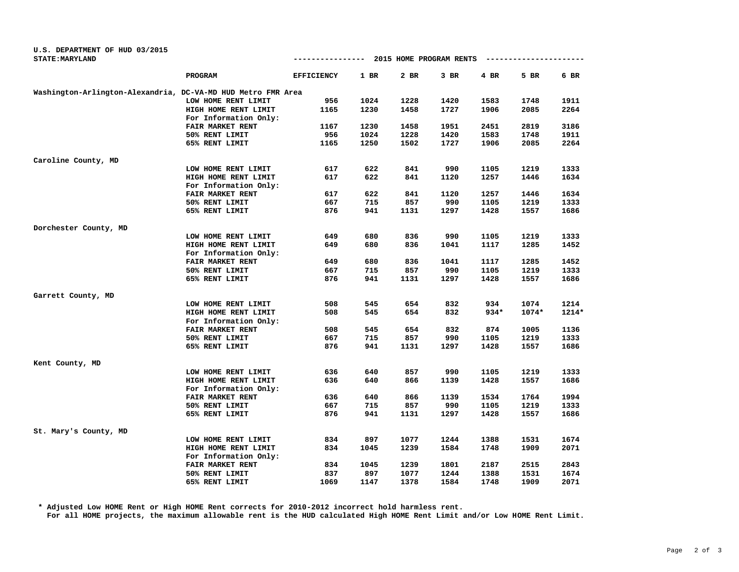| <b>STATE: MARYLAND</b>                                       |                       | ---------------- 2015 HOME PROGRAM RENTS |        |      |        |        | ----------------- |        |
|--------------------------------------------------------------|-----------------------|------------------------------------------|--------|------|--------|--------|-------------------|--------|
|                                                              | PROGRAM               | <b>EFFICIENCY</b>                        | $1$ BR | 2 BR | $3$ BR | 4 BR   | 5 BR              | $6$ BR |
| Washington-Arlington-Alexandria, DC-VA-MD HUD Metro FMR Area |                       |                                          |        |      |        |        |                   |        |
|                                                              | LOW HOME RENT LIMIT   | 956                                      | 1024   | 1228 | 1420   | 1583   | 1748              | 1911   |
|                                                              | HIGH HOME RENT LIMIT  | 1165                                     | 1230   | 1458 | 1727   | 1906   | 2085              | 2264   |
|                                                              | For Information Only: |                                          |        |      |        |        |                   |        |
|                                                              | FAIR MARKET RENT      | 1167                                     | 1230   | 1458 | 1951   | 2451   | 2819              | 3186   |
|                                                              | 50% RENT LIMIT        | 956                                      | 1024   | 1228 | 1420   | 1583   | 1748              | 1911   |
|                                                              | 65% RENT LIMIT        | 1165                                     | 1250   | 1502 | 1727   | 1906   | 2085              | 2264   |
| Caroline County, MD                                          |                       |                                          |        |      |        |        |                   |        |
|                                                              | LOW HOME RENT LIMIT   | 617                                      | 622    | 841  | 990    | 1105   | 1219              | 1333   |
|                                                              | HIGH HOME RENT LIMIT  | 617                                      | 622    | 841  | 1120   | 1257   | 1446              | 1634   |
|                                                              | For Information Only: |                                          |        |      |        |        |                   |        |
|                                                              | FAIR MARKET RENT      | 617                                      | 622    | 841  | 1120   | 1257   | 1446              | 1634   |
|                                                              | 50% RENT LIMIT        | 667                                      | 715    | 857  | 990    | 1105   | 1219              | 1333   |
|                                                              | 65% RENT LIMIT        | 876                                      | 941    | 1131 | 1297   | 1428   | 1557              | 1686   |
| Dorchester County, MD                                        |                       |                                          |        |      |        |        |                   |        |
|                                                              | LOW HOME RENT LIMIT   | 649                                      | 680    | 836  | 990    | 1105   | 1219              | 1333   |
|                                                              | HIGH HOME RENT LIMIT  | 649                                      | 680    | 836  | 1041   | 1117   | 1285              | 1452   |
|                                                              | For Information Only: |                                          |        |      |        |        |                   |        |
|                                                              | FAIR MARKET RENT      | 649                                      | 680    | 836  | 1041   | 1117   | 1285              | 1452   |
|                                                              | 50% RENT LIMIT        | 667                                      | 715    | 857  | 990    | 1105   | 1219              | 1333   |
|                                                              | 65% RENT LIMIT        | 876                                      | 941    | 1131 | 1297   | 1428   | 1557              | 1686   |
| Garrett County, MD                                           |                       |                                          |        |      |        |        |                   |        |
|                                                              | LOW HOME RENT LIMIT   | 508                                      | 545    | 654  | 832    | 934    | 1074              | 1214   |
|                                                              | HIGH HOME RENT LIMIT  | 508                                      | 545    | 654  | 832    | $934*$ | $1074*$           | 1214*  |
|                                                              | For Information Only: |                                          |        |      |        |        |                   |        |
|                                                              | FAIR MARKET RENT      | 508                                      | 545    | 654  | 832    | 874    | 1005              | 1136   |
|                                                              | 50% RENT LIMIT        | 667                                      | 715    | 857  | 990    | 1105   | 1219              | 1333   |
|                                                              | 65% RENT LIMIT        | 876                                      | 941    | 1131 | 1297   | 1428   | 1557              | 1686   |
| Kent County, MD                                              |                       |                                          |        |      |        |        |                   |        |
|                                                              | LOW HOME RENT LIMIT   | 636                                      | 640    | 857  | 990    | 1105   | 1219              | 1333   |
|                                                              | HIGH HOME RENT LIMIT  | 636                                      | 640    | 866  | 1139   | 1428   | 1557              | 1686   |
|                                                              | For Information Only: |                                          |        |      |        |        |                   |        |
|                                                              | FAIR MARKET RENT      | 636                                      | 640    | 866  | 1139   | 1534   | 1764              | 1994   |
|                                                              | 50% RENT LIMIT        | 667                                      | 715    | 857  | 990    | 1105   | 1219              | 1333   |
|                                                              | 65% RENT LIMIT        | 876                                      | 941    | 1131 | 1297   | 1428   | 1557              | 1686   |
| St. Mary's County, MD                                        |                       |                                          |        |      |        |        |                   |        |
|                                                              | LOW HOME RENT LIMIT   | 834                                      | 897    | 1077 | 1244   | 1388   | 1531              | 1674   |
|                                                              | HIGH HOME RENT LIMIT  | 834                                      | 1045   | 1239 | 1584   | 1748   | 1909              | 2071   |
|                                                              | For Information Only: |                                          |        |      |        |        |                   |        |
|                                                              | FAIR MARKET RENT      | 834                                      | 1045   | 1239 | 1801   | 2187   | 2515              | 2843   |
|                                                              | 50% RENT LIMIT        | 837                                      | 897    | 1077 | 1244   | 1388   | 1531              | 1674   |
|                                                              | 65% RENT LIMIT        | 1069                                     | 1147   | 1378 | 1584   | 1748   | 1909              | 2071   |

**U.S. DEPARTMENT OF HUD 03/2015**

**\* Adjusted Low HOME Rent or High HOME Rent corrects for 2010-2012 incorrect hold harmless rent. For all HOME projects, the maximum allowable rent is the HUD calculated High HOME Rent Limit and/or Low HOME Rent Limit.**